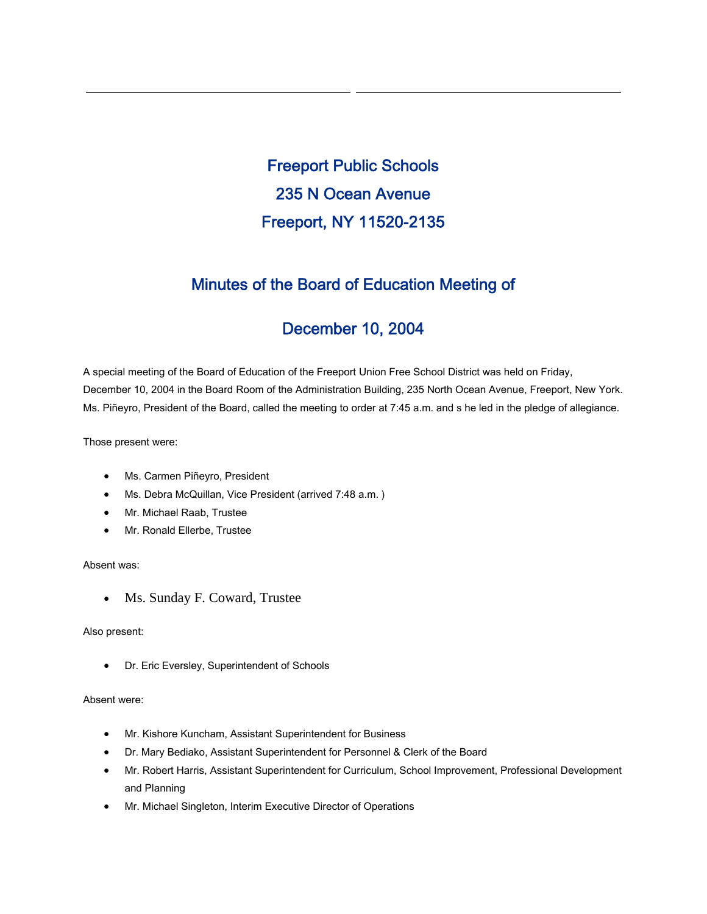Freeport Public Schools 235 N Ocean Avenue Freeport, NY 11520-2135

## Minutes of the Board of Education Meeting of

# December 10, 2004

A special meeting of the Board of Education of the Freeport Union Free School District was held on Friday, December 10, 2004 in the Board Room of the Administration Building, 235 North Ocean Avenue, Freeport, New York. Ms. Piñeyro, President of the Board, called the meeting to order at 7:45 a.m. and s he led in the pledge of allegiance.

Those present were:

- Ms. Carmen Piñeyro, President
- Ms. Debra McQuillan, Vice President (arrived 7:48 a.m. )
- Mr. Michael Raab, Trustee
- Mr. Ronald Ellerbe, Trustee

### Absent was:

• Ms. Sunday F. Coward, Trustee

#### Also present:

• Dr. Eric Eversley, Superintendent of Schools

#### Absent were:

- Mr. Kishore Kuncham, Assistant Superintendent for Business
- Dr. Mary Bediako, Assistant Superintendent for Personnel & Clerk of the Board
- Mr. Robert Harris, Assistant Superintendent for Curriculum, School Improvement, Professional Development and Planning
- Mr. Michael Singleton, Interim Executive Director of Operations